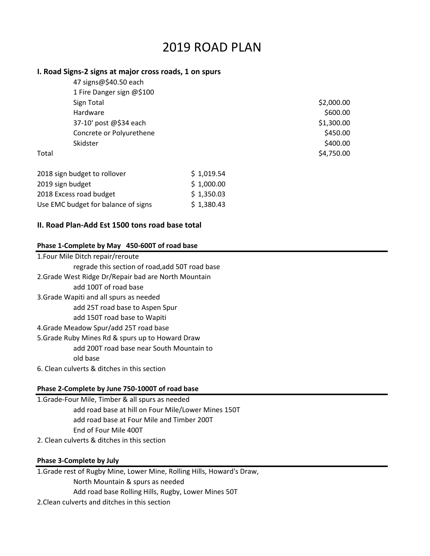# 2019 ROAD PLAN

## **I. Road Signs-2 signs at major cross roads, 1 on spurs**

|       | 47 signs@\$40.50 each     |            |
|-------|---------------------------|------------|
|       | 1 Fire Danger sign @\$100 |            |
|       | Sign Total                | \$2,000.00 |
|       | Hardware                  | \$600.00   |
|       | 37-10' post @\$34 each    | \$1,300.00 |
|       | Concrete or Polyurethene  | \$450.00   |
|       | Skidster                  | \$400.00   |
| Total |                           | \$4,750.00 |

| 2018 sign budget to rollover        | \$1,019.54 |
|-------------------------------------|------------|
| 2019 sign budget                    | \$1,000.00 |
| 2018 Excess road budget             | \$1,350.03 |
| Use EMC budget for balance of signs | \$1,380.43 |

## **II. Road Plan-Add Est 1500 tons road base total**

## **Phase 1-Complete by May 450-600T of road base**

| 1. Four Mile Ditch repair/reroute                    |  |  |  |
|------------------------------------------------------|--|--|--|
| regrade this section of road, add 50T road base      |  |  |  |
| 2. Grade West Ridge Dr/Repair bad are North Mountain |  |  |  |
| add 100T of road base                                |  |  |  |
| 3. Grade Wapiti and all spurs as needed              |  |  |  |
| add 25T road base to Aspen Spur                      |  |  |  |
| add 150T road base to Wapiti                         |  |  |  |
| 4. Grade Meadow Spur/add 25T road base               |  |  |  |
| 5. Grade Ruby Mines Rd & spurs up to Howard Draw     |  |  |  |
| add 200T road base near South Mountain to            |  |  |  |
| old base                                             |  |  |  |
| 6. Clean culverts & ditches in this section          |  |  |  |

### **Phase 2-Complete by June 750-1000T of road base**

- 1.Grade-Four Mile, Timber & all spurs as needed add road base at hill on Four Mile/Lower Mines 150T add road base at Four Mile and Timber 200T End of Four Mile 400T
- 2. Clean culverts & ditches in this section

### **Phase 3-Complete by July**

1.Grade rest of Rugby Mine, Lower Mine, Rolling Hills, Howard's Draw, North Mountain & spurs as needed Add road base Rolling Hills, Rugby, Lower Mines 50T 2.Clean culverts and ditches in this section